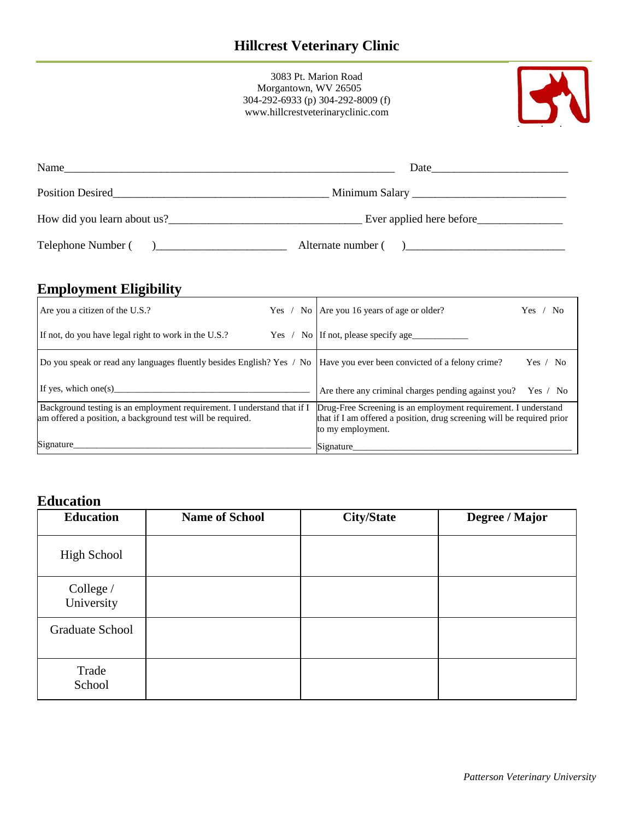3083 Pt. Marion Road Morgantown, WV 26505 304-292-6933 (p) 304-292-8009 (f) www.hillcrestveterinaryclinic.com



| Name               |                          |
|--------------------|--------------------------|
| Position Desired   |                          |
|                    | Ever applied here before |
| Telephone Number ( | Alternate number (       |

## **Employment Eligibility**

| Are you a citizen of the U.S.?                                                                                                        |  | Yes / No Are you 16 years of age or older?                                                                                                                    | ' No<br>Yes |
|---------------------------------------------------------------------------------------------------------------------------------------|--|---------------------------------------------------------------------------------------------------------------------------------------------------------------|-------------|
| If not, do you have legal right to work in the U.S.?                                                                                  |  | Yes / No   If not, please specify age                                                                                                                         |             |
| Do you speak or read any languages fluently besides English? Yes / No  Have you ever been convicted of a felony crime?                |  |                                                                                                                                                               | Yes / No    |
| If yes, which one(s)                                                                                                                  |  | Are there any criminal charges pending against you? Yes / No                                                                                                  |             |
| Background testing is an employment requirement. I understand that if I<br>am offered a position, a background test will be required. |  | Drug-Free Screening is an employment requirement. I understand<br>that if I am offered a position, drug screening will be required prior<br>to my employment. |             |
| Signature                                                                                                                             |  | Signature                                                                                                                                                     |             |

## **Education**

| <b>Education</b>        | <b>Name of School</b> | <b>City/State</b> | Degree / Major |
|-------------------------|-----------------------|-------------------|----------------|
| <b>High School</b>      |                       |                   |                |
| College /<br>University |                       |                   |                |
| Graduate School         |                       |                   |                |
| Trade<br>School         |                       |                   |                |